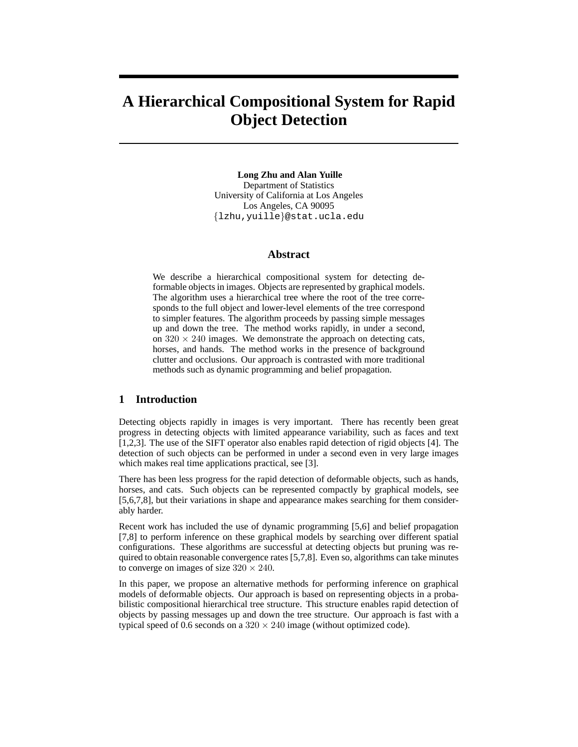# **A Hierarchical Compositional System for Rapid Object Detection**

**Long Zhu and Alan Yuille** Department of Statistics University of California at Los Angeles Los Angeles, CA 90095 {lzhu,yuille}@stat.ucla.edu

### **Abstract**

We describe a hierarchical compositional system for detecting deformable objects in images. Objects are represented by graphical models. The algorithm uses a hierarchical tree where the root of the tree corresponds to the full object and lower-level elements of the tree correspond to simpler features. The algorithm proceeds by passing simple messages up and down the tree. The method works rapidly, in under a second, on  $320 \times 240$  images. We demonstrate the approach on detecting cats, horses, and hands. The method works in the presence of background clutter and occlusions. Our approach is contrasted with more traditional methods such as dynamic programming and belief propagation.

## **1 Introduction**

Detecting objects rapidly in images is very important. There has recently been great progress in detecting objects with limited appearance variability, such as faces and text [1,2,3]. The use of the SIFT operator also enables rapid detection of rigid objects [4]. The detection of such objects can be performed in under a second even in very large images which makes real time applications practical, see [3].

There has been less progress for the rapid detection of deformable objects, such as hands, horses, and cats. Such objects can be represented compactly by graphical models, see [5,6,7,8], but their variations in shape and appearance makes searching for them considerably harder.

Recent work has included the use of dynamic programming [5,6] and belief propagation [7,8] to perform inference on these graphical models by searching over different spatial configurations. These algorithms are successful at detecting objects but pruning was required to obtain reasonable convergence rates [5,7,8]. Even so, algorithms can take minutes to converge on images of size  $320 \times 240$ .

In this paper, we propose an alternative methods for performing inference on graphical models of deformable objects. Our approach is based on representing objects in a probabilistic compositional hierarchical tree structure. This structure enables rapid detection of objects by passing messages up and down the tree structure. Our approach is fast with a typical speed of 0.6 seconds on a  $320 \times 240$  image (without optimized code).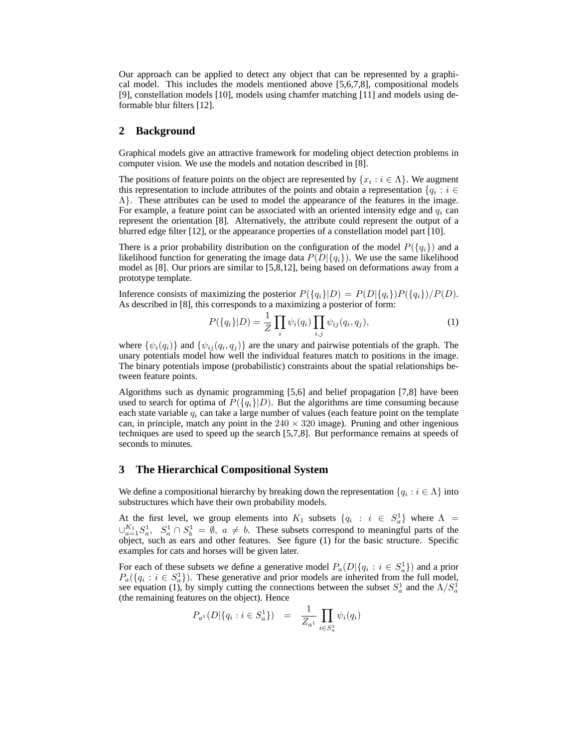Our approach can be applied to detect any object that can be represented by a graphical model. This includes the models mentioned above [5,6,7,8], compositional models [9], constellation models [10], models using chamfer matching [11] and models using deformable blur filters [12].

## **2 Background**

Graphical models give an attractive framework for modeling object detection problems in computer vision. We use the models and notation described in [8].

The positions of feature points on the object are represented by  $\{x_i : i \in \Lambda\}$ . We augment this representation to include attributes of the points and obtain a representation  $\{q_i : i \in$  $\Lambda$ . These attributes can be used to model the appearance of the features in the image. For example, a feature point can be associated with an oriented intensity edge and  $q_i$  can represent the orientation [8]. Alternatively, the attribute could represent the output of a blurred edge filter [12], or the appearance properties of a constellation model part [10].

There is a prior probability distribution on the configuration of the model  $P({q_i})$  and a likelihood function for generating the image data  $P(D|\{q_i\})$ . We use the same likelihood model as [8]. Our priors are similar to [5,8,12], being based on deformations away from a prototype template.

Inference consists of maximizing the posterior  $P({q_i}|D) = P(D|{q_i})P({q_i})/P(D)$ . As described in [8], this corresponds to a maximizing a posterior of form:

$$
P(\{q_i\}|D) = \frac{1}{Z} \prod_i \psi_i(q_i) \prod_{i,j} \psi_{ij}(q_i, q_j), \qquad (1)
$$

where  $\{\psi_i(q_i)\}\$  and  $\{\psi_{ij}(q_i,q_j)\}\$  are the unary and pairwise potentials of the graph. The unary potentials model how well the individual features match to positions in the image. The binary potentials impose (probabilistic) constraints about the spatial relationships between feature points.

Algorithms such as dynamic programming [5,6] and belief propagation [7,8] have been used to search for optima of  $P({q_i}|D)$ . But the algorithms are time consuming because each state variable  $q_i$  can take a large number of values (each feature point on the template can, in principle, match any point in the  $240 \times 320$  image). Pruning and other ingenious techniques are used to speed up the search [5,7,8]. But performance remains at speeds of seconds to minutes.

### **3 The Hierarchical Compositional System**

We define a compositional hierarchy by breaking down the representation  $\{q_i : i \in \Lambda\}$  into substructures which have their own probability models.

At the first level, we group elements into  $K_1$  subsets  $\{q_i : i \in S_a^1\}$  where  $\Lambda =$  $\cup_{a=1}^{K_1} S_a^1$ ,  $S_a^1 \cap S_b^1 = \emptyset$ ,  $a \neq b$ . These subsets correspond to meaningful parts of the object, such as ears and other features. See figure (1) for the basic structure. Specific examples for cats and horses will be given later.

For each of these subsets we define a generative model  $P_a(D|\{q_i : i \in S_a^1\})$  and a prior  $P_a({q_i : i \in S_a^1})$ . These generative and prior models are inherited from the full model, see equation (1), by simply cutting the connections between the subset  $S_a^1$  and the  $\Lambda/S_a^1$ (the remaining features on the object). Hence

$$
P_{a^1}(D|\{q_i : i \in S_a^1\}) = \frac{1}{Z_{a^1}} \prod_{i \in S_a^1} \psi_i(q_i)
$$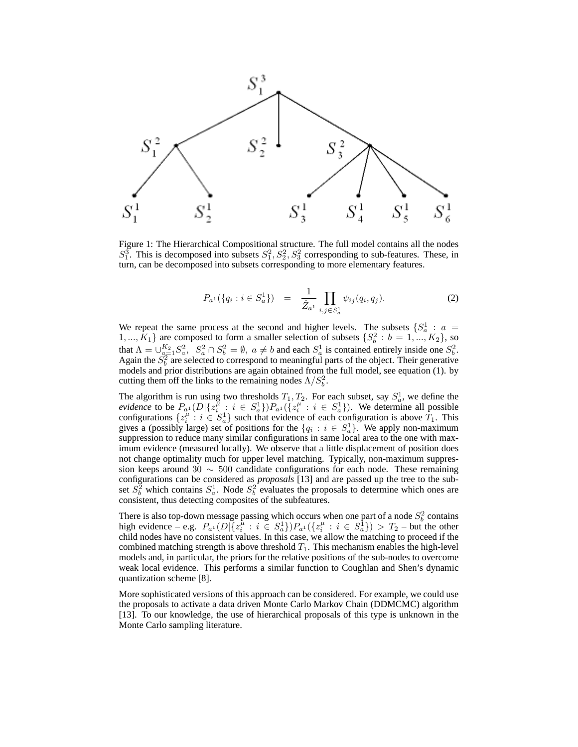

Figure 1: The Hierarchical Compositional structure. The full model contains all the nodes  $S_1^3$ . This is decomposed into subsets  $S_1^2, S_2^2, S_3^2$  corresponding to sub-features. These, in turn, can be decomposed into subsets corresponding to more elementary features.

$$
P_{a^1}(\{q_i : i \in S_a^1\}) = \frac{1}{\hat{Z}_{a^1}} \prod_{i,j \in S_a^1} \psi_{ij}(q_i, q_j). \tag{2}
$$

We repeat the same process at the second and higher levels. The subsets  $\{S_a^1 : a =$ 1,...,  $K_1$ } are composed to form a smaller selection of subsets  $\{S_b^2 : b = 1, ..., K_2\}$ , so that  $\Lambda = \bigcup_{a=1}^{K_2} S_a^2$ ,  $S_a^2 \cap S_b^2 = \emptyset$ ,  $a \neq b$  and each  $S_a^1$  is contained entirely inside one  $S_b^2$ . Again the  $S_b^2$  are selected to correspond to meaningful parts of the object. Their generative models and prior distributions are again obtained from the full model, see equation (1). by cutting them off the links to the remaining nodes  $\Lambda/S_b^2$ .

The algorithm is run using two thresholds  $T_1, T_2$ . For each subset, say  $S_a^1$ , we define the *evidence* to be  $P_{a} (D | \{z_i^{\mu} : i \in S_a^1\}) P_{a} (\{z_i^{\mu} : i \in S_a^1\})$ . We determine all possible configurations  $\{z_i^{\mu}: i \in S_n\}$  such that evidence of each configuration is above  $T_1$ . This gives a (possibly large) set of positions for the  $\{q_i : i \in S_a^1\}$ . We apply non-maximum suppression to reduce many similar configurations in same local area to the one with maximum evidence (measured locally). We observe that a little displacement of position does not change optimality much for upper level matching. Typically, non-maximum suppression keeps around 30  $\sim$  500 candidate configurations for each node. These remaining configurations can be considered as *proposals* [13] and are passed up the tree to the subset  $S_b^2$  which contains  $S_a^1$ . Node  $S_b^2$  evaluates the proposals to determine which ones are consistent, thus detecting composites of the subfeatures.

There is also top-down message passing which occurs when one part of a node  $S_b^2$  contains high evidence – e.g.  $P_{a^1}(D)[\{z_i^{\mu} : i \in S_a^1\} )P_{a^1}(\{z_i^{\mu} : i \in S_a^1\}) > T_2$  – but the other child nodes have no consistent values. In this case, we allow the matching to proceed if the combined matching strength is above threshold  $T_1$ . This mechanism enables the high-level models and, in particular, the priors for the relative positions of the sub-nodes to overcome weak local evidence. This performs a similar function to Coughlan and Shen's dynamic quantization scheme [8].

More sophisticated versions of this approach can be considered. For example, we could use the proposals to activate a data driven Monte Carlo Markov Chain (DDMCMC) algorithm [13]. To our knowledge, the use of hierarchical proposals of this type is unknown in the Monte Carlo sampling literature.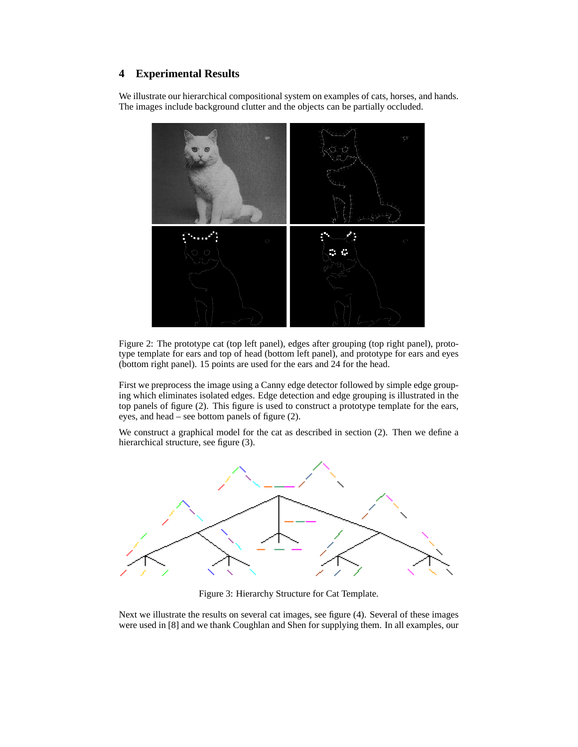# **4 Experimental Results**

We illustrate our hierarchical compositional system on examples of cats, horses, and hands. The images include background clutter and the objects can be partially occluded.



Figure 2: The prototype cat (top left panel), edges after grouping (top right panel), prototype template for ears and top of head (bottom left panel), and prototype for ears and eyes (bottom right panel). 15 points are used for the ears and 24 for the head.

First we preprocess the image using a Canny edge detector followed by simple edge grouping which eliminates isolated edges. Edge detection and edge grouping is illustrated in the top panels of figure (2). This figure is used to construct a prototype template for the ears, eyes, and head – see bottom panels of figure (2).

We construct a graphical model for the cat as described in section (2). Then we define a hierarchical structure, see figure (3).



Figure 3: Hierarchy Structure for Cat Template.

Next we illustrate the results on several cat images, see figure (4). Several of these images were used in [8] and we thank Coughlan and Shen for supplying them. In all examples, our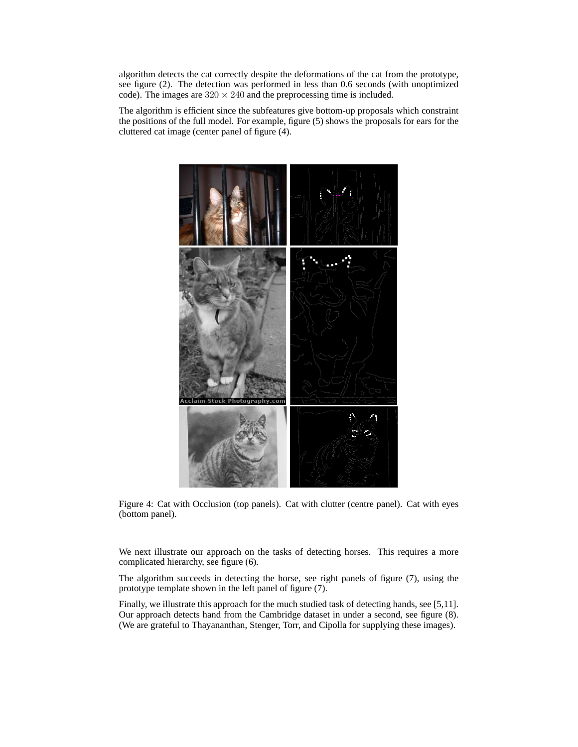algorithm detects the cat correctly despite the deformations of the cat from the prototype, see figure (2). The detection was performed in less than 0.6 seconds (with unoptimized code). The images are  $320 \times 240$  and the preprocessing time is included.

The algorithm is efficient since the subfeatures give bottom-up proposals which constraint the positions of the full model. For example, figure (5) shows the proposals for ears for the cluttered cat image (center panel of figure (4).



Figure 4: Cat with Occlusion (top panels). Cat with clutter (centre panel). Cat with eyes (bottom panel).

We next illustrate our approach on the tasks of detecting horses. This requires a more complicated hierarchy, see figure (6).

The algorithm succeeds in detecting the horse, see right panels of figure (7), using the prototype template shown in the left panel of figure (7).

Finally, we illustrate this approach for the much studied task of detecting hands, see [5,11]. Our approach detects hand from the Cambridge dataset in under a second, see figure (8). (We are grateful to Thayananthan, Stenger, Torr, and Cipolla for supplying these images).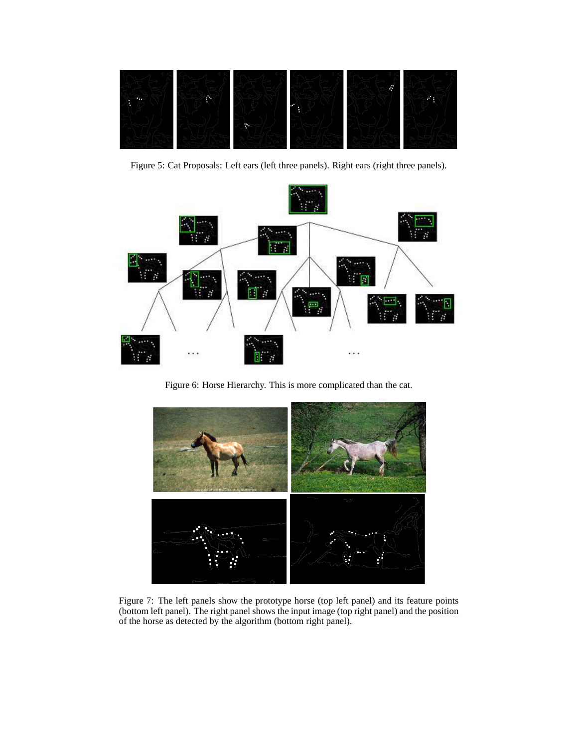

Figure 5: Cat Proposals: Left ears (left three panels). Right ears (right three panels).



Figure 6: Horse Hierarchy. This is more complicated than the cat.



Figure 7: The left panels show the prototype horse (top left panel) and its feature points (bottom left panel). The right panel shows the input image (top right panel) and the position of the horse as detected by the algorithm (bottom right panel).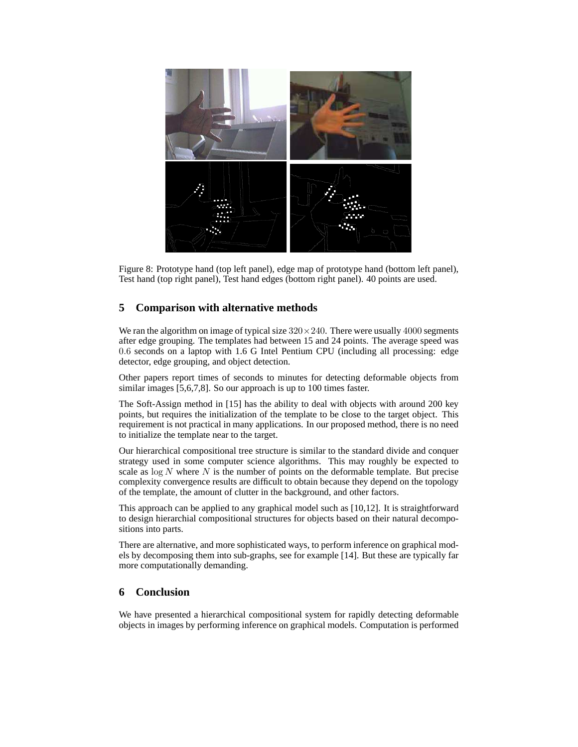

Figure 8: Prototype hand (top left panel), edge map of prototype hand (bottom left panel), Test hand (top right panel), Test hand edges (bottom right panel). 40 points are used.

# **5 Comparison with alternative methods**

We ran the algorithm on image of typical size  $320 \times 240$ . There were usually 4000 segments after edge grouping. The templates had between 15 and 24 points. The average speed was 0.6 seconds on a laptop with 1.6 G Intel Pentium CPU (including all processing: edge detector, edge grouping, and object detection.

Other papers report times of seconds to minutes for detecting deformable objects from similar images [5,6,7,8]. So our approach is up to 100 times faster.

The Soft-Assign method in [15] has the ability to deal with objects with around 200 key points, but requires the initialization of the template to be close to the target object. This requirement is not practical in many applications. In our proposed method, there is no need to initialize the template near to the target.

Our hierarchical compositional tree structure is similar to the standard divide and conquer strategy used in some computer science algorithms. This may roughly be expected to scale as  $\log N$  where N is the number of points on the deformable template. But precise complexity convergence results are difficult to obtain because they depend on the topology of the template, the amount of clutter in the background, and other factors.

This approach can be applied to any graphical model such as [10,12]. It is straightforward to design hierarchial compositional structures for objects based on their natural decompositions into parts.

There are alternative, and more sophisticated ways, to perform inference on graphical models by decomposing them into sub-graphs, see for example [14]. But these are typically far more computationally demanding.

## **6 Conclusion**

We have presented a hierarchical compositional system for rapidly detecting deformable objects in images by performing inference on graphical models. Computation is performed